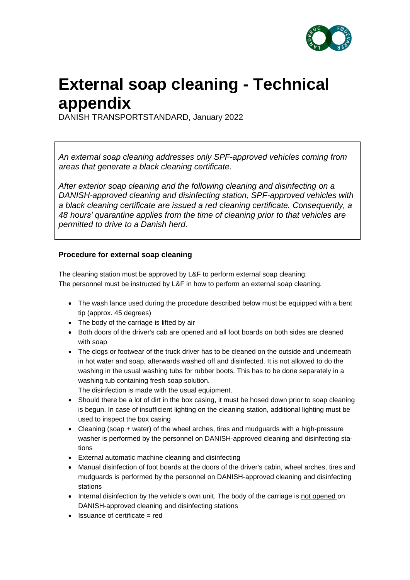

## **External soap cleaning - Technical appendix**

DANISH TRANSPORTSTANDARD, January 2022

*An external soap cleaning addresses only SPF-approved vehicles coming from areas that generate a black cleaning certificate.*

*After exterior soap cleaning and the following cleaning and disinfecting on a DANISH-approved cleaning and disinfecting station, SPF-approved vehicles with a black cleaning certificate are issued a red cleaning certificate. Consequently, a 48 hours' quarantine applies from the time of cleaning prior to that vehicles are permitted to drive to a Danish herd.*

## **Procedure for external soap cleaning**

The cleaning station must be approved by L&F to perform external soap cleaning. The personnel must be instructed by L&F in how to perform an external soap cleaning.

- The wash lance used during the procedure described below must be equipped with a bent tip (approx. 45 degrees)
- The body of the carriage is lifted by air
- Both doors of the driver's cab are opened and all foot boards on both sides are cleaned with soap
- The clogs or footwear of the truck driver has to be cleaned on the outside and underneath in hot water and soap, afterwards washed off and disinfected. It is not allowed to do the washing in the usual washing tubs for rubber boots. This has to be done separately in a washing tub containing fresh soap solution.

The disinfection is made with the usual equipment.

- Should there be a lot of dirt in the box casing, it must be hosed down prior to soap cleaning is begun. In case of insufficient lighting on the cleaning station, additional lighting must be used to inspect the box casing
- Cleaning (soap + water) of the wheel arches, tires and mudguards with a high-pressure washer is performed by the personnel on DANISH-approved cleaning and disinfecting stations
- External automatic machine cleaning and disinfecting
- Manual disinfection of foot boards at the doors of the driver's cabin, wheel arches, tires and mudguards is performed by the personnel on DANISH-approved cleaning and disinfecting stations
- Internal disinfection by the vehicle's own unit. The body of the carriage is not opened on DANISH-approved cleaning and disinfecting stations
- Issuance of certificate = red